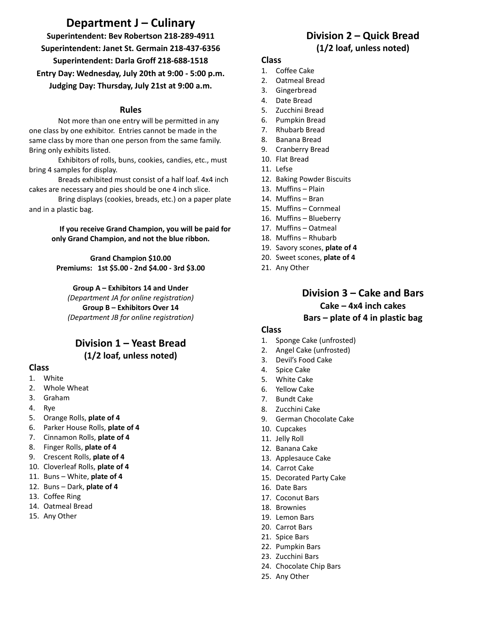# **Department J – Culinary**

**Superintendent: Bev Robertson 218-289-4911 Superintendent: Janet St. Germain 218-437-6356 Superintendent: Darla Groff 218-688-1518 Entry Day: Wednesday, July 20th at 9:00 - 5:00 p.m. Judging Day: Thursday, July 21st at 9:00 a.m.**

#### **Rules**

Not more than one entry will be permitted in any one class by one exhibitor. Entries cannot be made in the same class by more than one person from the same family. Bring only exhibits listed.

Exhibitors of rolls, buns, cookies, candies, etc., must bring 4 samples for display.

Breads exhibited must consist of a half loaf. 4x4 inch cakes are necessary and pies should be one 4 inch slice.

Bring displays (cookies, breads, etc.) on a paper plate and in a plastic bag.

> **If you receive Grand Champion, you will be paid for only Grand Champion, and not the blue ribbon.**

**Grand Champion \$10.00 Premiums: 1st \$5.00 - 2nd \$4.00 - 3rd \$3.00**

**Group A – Exhibitors 14 and Under** *(Department JA for online registration)* **Group B – Exhibitors Over 14** *(Department JB for online registration)*

### **Division 1 – Yeast Bread (1/2 loaf, unless noted)**

#### **Class**

- 1. White
- 2. Whole Wheat
- 3. Graham
- 4. Rye
- 5. Orange Rolls, **plate of 4**
- 6. Parker House Rolls, **plate of 4**
- 7. Cinnamon Rolls, **plate of 4**
- 8. Finger Rolls, **plate of 4**
- 9. Crescent Rolls, **plate of 4**
- 10. Cloverleaf Rolls, **plate of 4**
- 11. Buns White, **plate of 4**
- 12. Buns Dark, **plate of 4**
- 13. Coffee Ring
- 14. Oatmeal Bread
- 15. Any Other

## **Division 2 – Quick Bread (1/2 loaf, unless noted)**

#### **Class**

- 1. Coffee Cake
- 2. Oatmeal Bread
- 3. Gingerbread
- 4. Date Bread
- 5. Zucchini Bread
- 6. Pumpkin Bread
- 7. Rhubarb Bread
- 8. Banana Bread
- 9. Cranberry Bread
- 10. Flat Bread
- 11. Lefse
- 12. Baking Powder Biscuits
- 13. Muffins Plain
- 14. Muffins Bran
- 15. Muffins Cornmeal
- 16. Muffins Blueberry
- 17. Muffins Oatmeal
- 18. Muffins Rhubarb
- 19. Savory scones, **plate of 4**
- 20. Sweet scones, **plate of 4**
- 21. Any Other

### **Division 3 – Cake and Bars Cake – 4x4 inch cakes Bars – plate of 4 in plastic bag**

#### **Class**

- 1. Sponge Cake (unfrosted)
- 2. Angel Cake (unfrosted)
- 3. Devil's Food Cake
- 4. Spice Cake
- 5. White Cake
- 6. Yellow Cake
- 7. Bundt Cake
- 8. Zucchini Cake
- 9. German Chocolate Cake
- 10. Cupcakes
- 11. Jelly Roll
- 12. Banana Cake
- 13. Applesauce Cake
- 14. Carrot Cake
- 15. Decorated Party Cake
- 16. Date Bars
- 17. Coconut Bars
- 18. Brownies
- 19. Lemon Bars
- 20. Carrot Bars
- 21. Spice Bars
- 22. Pumpkin Bars
- 23. Zucchini Bars
- 24. Chocolate Chip Bars
- 25. Any Other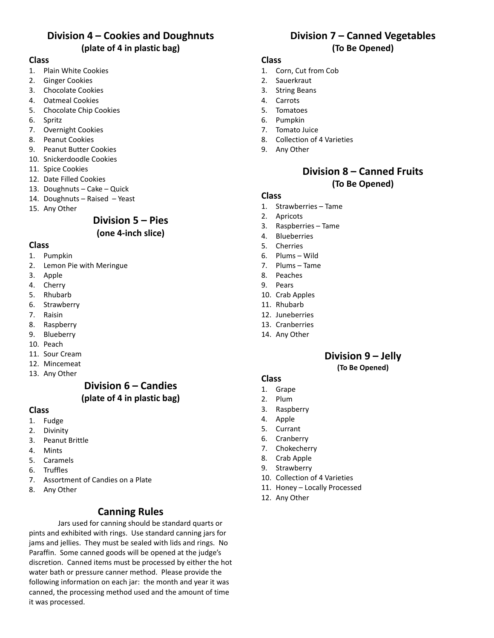## **Division 4 – Cookies and Doughnuts (plate of 4 in plastic bag)**

#### **Class**

- 1. Plain White Cookies
- 2. Ginger Cookies
- 3. Chocolate Cookies
- 4. Oatmeal Cookies
- 5. Chocolate Chip Cookies
- 6. Spritz
- 7. Overnight Cookies
- 8. Peanut Cookies
- 9. Peanut Butter Cookies
- 10. Snickerdoodle Cookies
- 11. Spice Cookies
- 12. Date Filled Cookies
- 13. Doughnuts Cake Quick
- 14. Doughnuts Raised Yeast
- 15. Any Other

# **Division 5 – Pies**

### **(one 4-inch slice)**

#### **Class**

- 1. Pumpkin
- 2. Lemon Pie with Meringue
- 3. Apple
- 4. Cherry
- 5. Rhubarb
- 6. Strawberry
- 7. Raisin
- 8. Raspberry
- 9. Blueberry
- 10. Peach
- 11. Sour Cream
- 12. Mincemeat 13. Any Other

### **Division 6 – Candies (plate of 4 in plastic bag)**

#### **Class**

- 1. Fudge
- 2. Divinity
- 3. Peanut Brittle
- 4. Mints
- 5. Caramels
- 6. Truffles
- 7. Assortment of Candies on a Plate
- 8. Any Other

### **Canning Rules**

Jars used for canning should be standard quarts or pints and exhibited with rings. Use standard canning jars for jams and jellies. They must be sealed with lids and rings. No Paraffin. Some canned goods will be opened at the judge's discretion. Canned items must be processed by either the hot water bath or pressure canner method. Please provide the following information on each jar: the month and year it was canned, the processing method used and the amount of time it was processed.

### **Division 7 – Canned Vegetables (To Be Opened)**

### **Class**

- 1. Corn, Cut from Cob
- 2. Sauerkraut
- 3. String Beans
- 4. Carrots
- 5. Tomatoes
- 6. Pumpkin
- 7. Tomato Juice
- 8. Collection of 4 Varieties
- 9. Any Other

### **Division 8 – Canned Fruits (To Be Opened)**

#### **Class**

- 1. Strawberries Tame
- 2. Apricots
- 3. Raspberries Tame
- 4. Blueberries
- 5. Cherries
- 6. Plums Wild
- 7. Plums Tame
- 8. Peaches
- 9. Pears
- 10. Crab Apples
- 11. Rhubarb
- 12. Juneberries
- 13. Cranberries
- 14. Any Other

## **Division 9 – Jelly**

**(To Be Opened)**

#### **Class**

- 1. Grape
- 2. Plum
- 3. Raspberry
- 4. Apple
- 5. Currant
- 6. Cranberry
- 7. Chokecherry
- 8. Crab Apple
- 9. Strawberry
- 10. Collection of 4 Varieties
- 11. Honey Locally Processed
- 12. Any Other